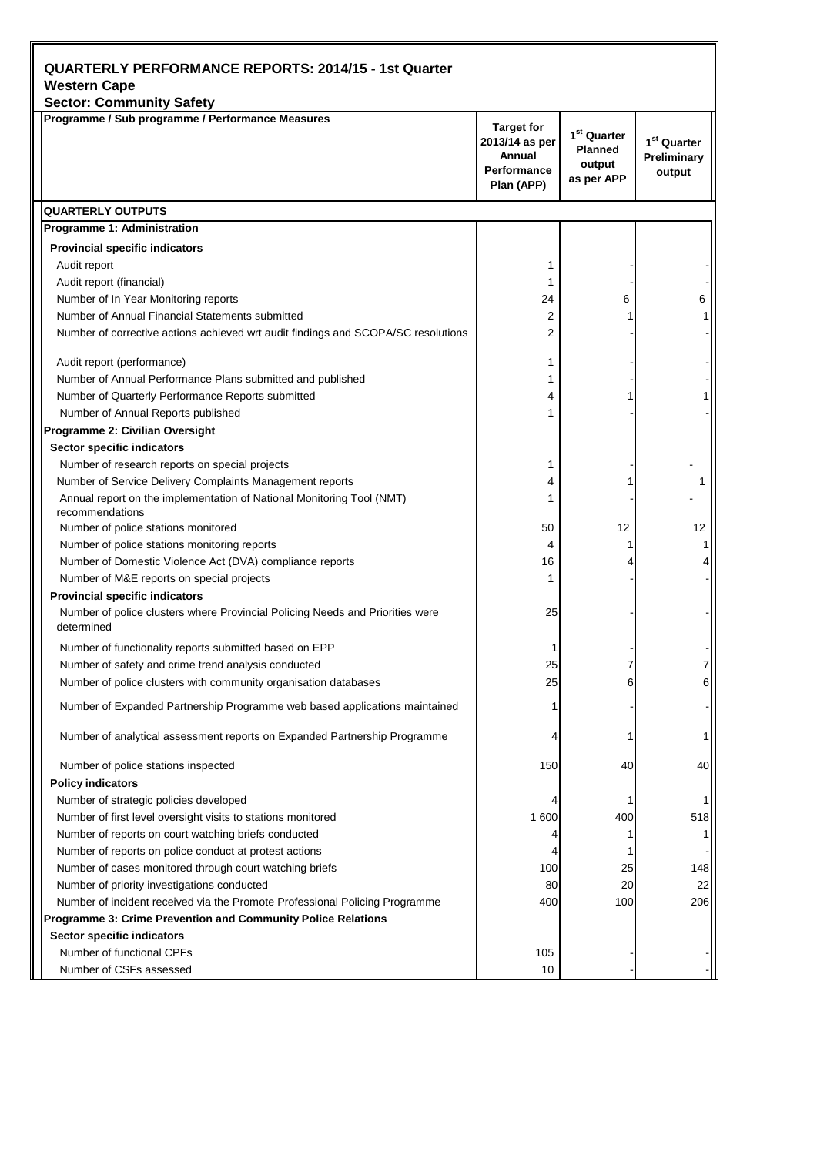| <b>QUARTERLY PERFORMANCE REPORTS: 2014/15 - 1st Quarter</b><br><b>Western Cape</b>          |                                                                            |                                                                   |                                                  |  |
|---------------------------------------------------------------------------------------------|----------------------------------------------------------------------------|-------------------------------------------------------------------|--------------------------------------------------|--|
| <b>Sector: Community Safety</b>                                                             |                                                                            |                                                                   |                                                  |  |
| Programme / Sub programme / Performance Measures                                            | <b>Target for</b><br>2013/14 as per<br>Annual<br>Performance<br>Plan (APP) | 1 <sup>st</sup> Quarter<br><b>Planned</b><br>output<br>as per APP | 1 <sup>st</sup> Quarter<br>Preliminary<br>output |  |
| <b>QUARTERLY OUTPUTS</b>                                                                    |                                                                            |                                                                   |                                                  |  |
| Programme 1: Administration                                                                 |                                                                            |                                                                   |                                                  |  |
| <b>Provincial specific indicators</b>                                                       |                                                                            |                                                                   |                                                  |  |
| Audit report                                                                                | 1                                                                          |                                                                   |                                                  |  |
| Audit report (financial)                                                                    | 1                                                                          |                                                                   |                                                  |  |
| Number of In Year Monitoring reports                                                        | 24                                                                         | 6                                                                 | 6                                                |  |
| Number of Annual Financial Statements submitted                                             | 2                                                                          |                                                                   |                                                  |  |
| Number of corrective actions achieved wrt audit findings and SCOPA/SC resolutions           | 2                                                                          |                                                                   |                                                  |  |
| Audit report (performance)                                                                  | 1                                                                          |                                                                   |                                                  |  |
| Number of Annual Performance Plans submitted and published                                  | 1                                                                          |                                                                   |                                                  |  |
| Number of Quarterly Performance Reports submitted                                           | 4                                                                          |                                                                   |                                                  |  |
| Number of Annual Reports published                                                          | 1                                                                          |                                                                   |                                                  |  |
| Programme 2: Civilian Oversight                                                             |                                                                            |                                                                   |                                                  |  |
| Sector specific indicators                                                                  |                                                                            |                                                                   |                                                  |  |
| Number of research reports on special projects                                              | 1                                                                          |                                                                   |                                                  |  |
| Number of Service Delivery Complaints Management reports                                    | 4                                                                          |                                                                   |                                                  |  |
| Annual report on the implementation of National Monitoring Tool (NMT)<br>recommendations    | 1                                                                          |                                                                   |                                                  |  |
| Number of police stations monitored                                                         | 50                                                                         | 12                                                                | 12                                               |  |
| Number of police stations monitoring reports                                                | 4                                                                          |                                                                   |                                                  |  |
| Number of Domestic Violence Act (DVA) compliance reports                                    | 16                                                                         |                                                                   |                                                  |  |
| Number of M&E reports on special projects                                                   | 1                                                                          |                                                                   |                                                  |  |
| <b>Provincial specific indicators</b>                                                       |                                                                            |                                                                   |                                                  |  |
| Number of police clusters where Provincial Policing Needs and Priorities were<br>determined | 25                                                                         |                                                                   |                                                  |  |
| Number of functionality reports submitted based on EPP                                      |                                                                            |                                                                   |                                                  |  |
| Number of safety and crime trend analysis conducted                                         | 25                                                                         |                                                                   |                                                  |  |
| Number of police clusters with community organisation databases                             | 25                                                                         | 6                                                                 | 6                                                |  |
| Number of Expanded Partnership Programme web based applications maintained                  |                                                                            |                                                                   |                                                  |  |
| Number of analytical assessment reports on Expanded Partnership Programme                   |                                                                            |                                                                   |                                                  |  |
| Number of police stations inspected                                                         | 150                                                                        | 40                                                                | 40                                               |  |
| <b>Policy indicators</b>                                                                    |                                                                            |                                                                   |                                                  |  |
| Number of strategic policies developed                                                      |                                                                            |                                                                   |                                                  |  |
| Number of first level oversight visits to stations monitored                                | 1 600                                                                      | 400                                                               | 518                                              |  |
| Number of reports on court watching briefs conducted                                        |                                                                            | 1                                                                 |                                                  |  |
| Number of reports on police conduct at protest actions                                      |                                                                            |                                                                   |                                                  |  |
| Number of cases monitored through court watching briefs                                     | 100                                                                        | 25                                                                | 148                                              |  |
| Number of priority investigations conducted                                                 | 80                                                                         | 20                                                                | 22                                               |  |
| Number of incident received via the Promote Professional Policing Programme                 | 400                                                                        | 100                                                               | 206                                              |  |
| Programme 3: Crime Prevention and Community Police Relations                                |                                                                            |                                                                   |                                                  |  |
| Sector specific indicators                                                                  |                                                                            |                                                                   |                                                  |  |
| Number of functional CPFs                                                                   | 105                                                                        |                                                                   |                                                  |  |
| Number of CSFs assessed                                                                     | 10                                                                         |                                                                   |                                                  |  |